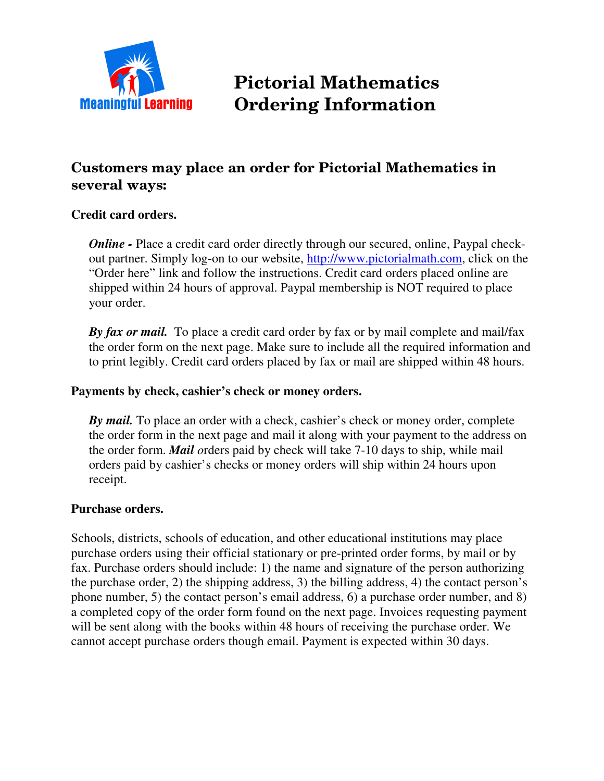

# ictorial Mathematics **Meaningful Learning Ordering Information**

## Customers may place an order for Pictorial Mathematics in several ways:

#### **Credit card orders.**

*Online* - Place a credit card order directly through our secured, online, Paypal checkout partner. Simply log-on to our website, http://www.pictorialmath.com, click on the "Order here" link and follow the instructions. Credit card orders placed online are shipped within 24 hours of approval. Paypal membership is NOT required to place your order.

*By fax or mail.* To place a credit card order by fax or by mail complete and mail/fax the order form on the next page. Make sure to include all the required information and to print legibly. Credit card orders placed by fax or mail are shipped within 48 hours.

#### **Payments by check, cashier's check or money orders.**

*By mail.* To place an order with a check, cashier's check or money order, complete the order form in the next page and mail it along with your payment to the address on the order form. *Mail o*rders paid by check will take 7-10 days to ship, while mail orders paid by cashier's checks or money orders will ship within 24 hours upon receipt.

#### **Purchase orders.**

Schools, districts, schools of education, and other educational institutions may place purchase orders using their official stationary or pre-printed order forms, by mail or by fax. Purchase orders should include: 1) the name and signature of the person authorizing the purchase order, 2) the shipping address, 3) the billing address, 4) the contact person's phone number, 5) the contact person's email address, 6) a purchase order number, and 8) a completed copy of the order form found on the next page. Invoices requesting payment will be sent along with the books within 48 hours of receiving the purchase order. We cannot accept purchase orders though email. Payment is expected within 30 days.